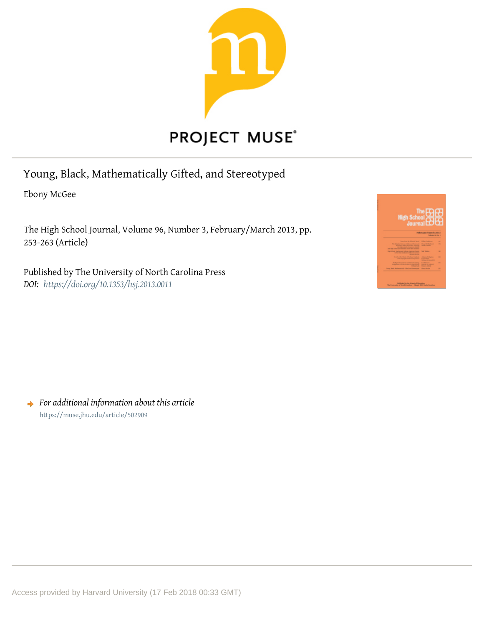

# Young, Black, Mathematically Gifted, and Stereotyped

Ebony McGee

The High School Journal, Volume 96, Number 3, February/March 2013, pp. 253-263 (Article)

Published by The University of North Carolina Press *DOI: <https://doi.org/10.1353/hsj.2013.0011>*



*For additional information about this article* <https://muse.jhu.edu/article/502909>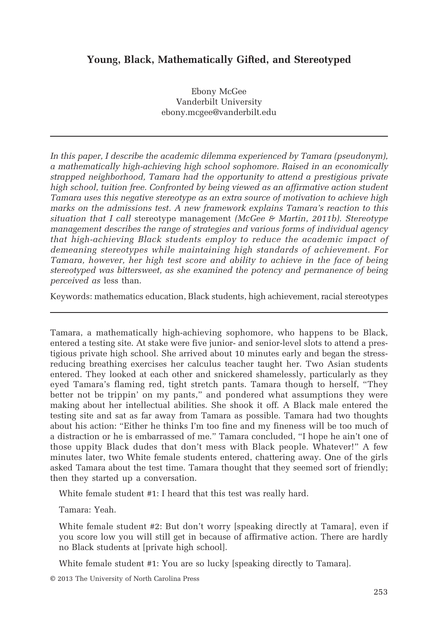## Young, Black, Mathematically Gifted, and Stereotyped

Ebony McGee Vanderbilt University ebony.mcgee@vanderbilt.edu

In this paper, I describe the academic dilemma experienced by Tamara (pseudonym), a mathematically high-achieving high school sophomore. Raised in an economically strapped neighborhood, Tamara had the opportunity to attend a prestigious private high school, tuition free. Confronted by being viewed as an affirmative action student Tamara uses this negative stereotype as an extra source of motivation to achieve high marks on the admissions test. A new framework explains Tamara's reaction to this situation that I call stereotype management (McGee & Martin, 2011b). Stereotype management describes the range of strategies and various forms of individual agency that high-achieving Black students employ to reduce the academic impact of demeaning stereotypes while maintaining high standards of achievement. For Tamara, however, her high test score and ability to achieve in the face of being stereotyped was bittersweet, as she examined the potency and permanence of being perceived as less than.

Keywords: mathematics education, Black students, high achievement, racial stereotypes

Tamara, a mathematically high-achieving sophomore, who happens to be Black, entered a testing site. At stake were five junior- and senior-level slots to attend a prestigious private high school. She arrived about 10 minutes early and began the stressreducing breathing exercises her calculus teacher taught her. Two Asian students entered. They looked at each other and snickered shamelessly, particularly as they eyed Tamara's flaming red, tight stretch pants. Tamara though to herself, "They better not be trippin' on my pants," and pondered what assumptions they were making about her intellectual abilities. She shook it off. A Black male entered the testing site and sat as far away from Tamara as possible. Tamara had two thoughts about his action: "Either he thinks I'm too fine and my fineness will be too much of a distraction or he is embarrassed of me." Tamara concluded, "I hope he ain't one of those uppity Black dudes that don't mess with Black people. Whatever!" A few minutes later, two White female students entered, chattering away. One of the girls asked Tamara about the test time. Tamara thought that they seemed sort of friendly; then they started up a conversation.

White female student #1: I heard that this test was really hard.

Tamara: Yeah.

White female student #2: But don't worry [speaking directly at Tamara], even if you score low you will still get in because of affirmative action. There are hardly no Black students at [private high school].

White female student #1: You are so lucky [speaking directly to Tamara].

© 2013 The University of North Carolina Press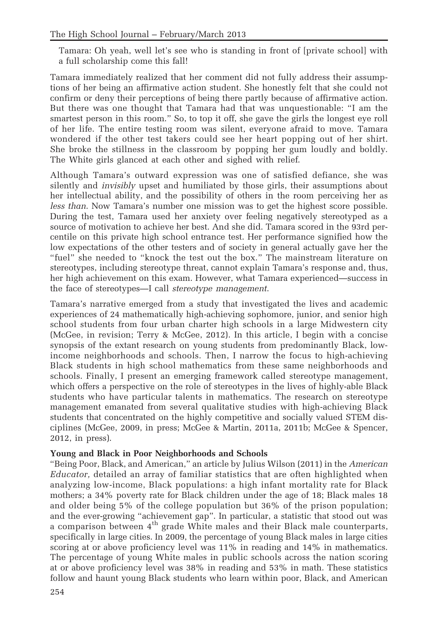Tamara: Oh yeah, well let's see who is standing in front of [private school] with a full scholarship come this fall!

Tamara immediately realized that her comment did not fully address their assumptions of her being an affirmative action student. She honestly felt that she could not confirm or deny their perceptions of being there partly because of affirmative action. But there was one thought that Tamara had that was unquestionable: "I am the smartest person in this room." So, to top it off, she gave the girls the longest eye roll of her life. The entire testing room was silent, everyone afraid to move. Tamara wondered if the other test takers could see her heart popping out of her shirt. She broke the stillness in the classroom by popping her gum loudly and boldly. The White girls glanced at each other and sighed with relief.

Although Tamara's outward expression was one of satisfied defiance, she was silently and *invisibly* upset and humiliated by those girls, their assumptions about her intellectual ability, and the possibility of others in the room perceiving her as less than. Now Tamara's number one mission was to get the highest score possible. During the test, Tamara used her anxiety over feeling negatively stereotyped as a source of motivation to achieve her best. And she did. Tamara scored in the 93rd percentile on this private high school entrance test. Her performance signified how the low expectations of the other testers and of society in general actually gave her the "fuel" she needed to "knock the test out the box." The mainstream literature on stereotypes, including stereotype threat, cannot explain Tamara's response and, thus, her high achievement on this exam. However, what Tamara experienced—success in the face of stereotypes—I call stereotype management.

Tamara's narrative emerged from a study that investigated the lives and academic experiences of 24 mathematically high-achieving sophomore, junior, and senior high school students from four urban charter high schools in a large Midwestern city (McGee, in revision; Terry & McGee, 2012). In this article, I begin with a concise synopsis of the extant research on young students from predominantly Black, lowincome neighborhoods and schools. Then, I narrow the focus to high-achieving Black students in high school mathematics from these same neighborhoods and schools. Finally, I present an emerging framework called stereotype management, which offers a perspective on the role of stereotypes in the lives of highly-able Black students who have particular talents in mathematics. The research on stereotype management emanated from several qualitative studies with high-achieving Black students that concentrated on the highly competitive and socially valued STEM disciplines (McGee, 2009, in press; McGee & Martin, 2011a, 2011b; McGee & Spencer, 2012, in press).

#### Young and Black in Poor Neighborhoods and Schools

"Being Poor, Black, and American," an article by Julius Wilson (2011) in the American Educator, detailed an array of familiar statistics that are often highlighted when analyzing low-income, Black populations: a high infant mortality rate for Black mothers; a 34% poverty rate for Black children under the age of 18; Black males 18 and older being 5% of the college population but 36% of the prison population; and the ever-growing "achievement gap". In particular, a statistic that stood out was a comparison between 4<sup>th</sup> grade White males and their Black male counterparts, specifically in large cities. In 2009, the percentage of young Black males in large cities scoring at or above proficiency level was 11% in reading and 14% in mathematics. The percentage of young White males in public schools across the nation scoring at or above proficiency level was 38% in reading and 53% in math. These statistics follow and haunt young Black students who learn within poor, Black, and American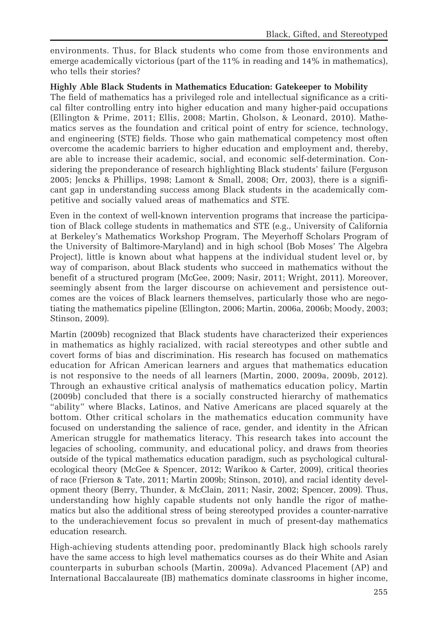environments. Thus, for Black students who come from those environments and emerge academically victorious (part of the 11% in reading and 14% in mathematics), who tells their stories?

#### Highly Able Black Students in Mathematics Education: Gatekeeper to Mobility

The field of mathematics has a privileged role and intellectual significance as a critical filter controlling entry into higher education and many higher-paid occupations (Ellington & Prime, 2011; Ellis, 2008; Martin, Gholson, & Leonard, 2010). Mathematics serves as the foundation and critical point of entry for science, technology, and engineering (STE) fields. Those who gain mathematical competency most often overcome the academic barriers to higher education and employment and, thereby, are able to increase their academic, social, and economic self-determination. Considering the preponderance of research highlighting Black students' failure (Ferguson 2005; Jencks & Phillips, 1998; Lamont & Small, 2008; Orr, 2003), there is a significant gap in understanding success among Black students in the academically competitive and socially valued areas of mathematics and STE.

Even in the context of well-known intervention programs that increase the participation of Black college students in mathematics and STE (e.g., University of California at Berkeley's Mathematics Workshop Program, The Meyerhoff Scholars Program of the University of Baltimore-Maryland) and in high school (Bob Moses' The Algebra Project), little is known about what happens at the individual student level or, by way of comparison, about Black students who succeed in mathematics without the benefit of a structured program (McGee, 2009; Nasir, 2011; Wright, 2011). Moreover, seemingly absent from the larger discourse on achievement and persistence outcomes are the voices of Black learners themselves, particularly those who are negotiating the mathematics pipeline (Ellington, 2006; Martin, 2006a, 2006b; Moody, 2003; Stinson, 2009).

Martin (2009b) recognized that Black students have characterized their experiences in mathematics as highly racialized, with racial stereotypes and other subtle and covert forms of bias and discrimination. His research has focused on mathematics education for African American learners and argues that mathematics education is not responsive to the needs of all learners (Martin, 2000, 2009a, 2009b, 2012). Through an exhaustive critical analysis of mathematics education policy, Martin (2009b) concluded that there is a socially constructed hierarchy of mathematics "ability" where Blacks, Latinos, and Native Americans are placed squarely at the bottom. Other critical scholars in the mathematics education community have focused on understanding the salience of race, gender, and identity in the African American struggle for mathematics literacy. This research takes into account the legacies of schooling, community, and educational policy, and draws from theories outside of the typical mathematics education paradigm, such as psychological culturalecological theory (McGee & Spencer, 2012; Warikoo & Carter, 2009), critical theories of race (Frierson & Tate, 2011; Martin 2009b; Stinson, 2010), and racial identity development theory (Berry, Thunder, & McClain, 2011; Nasir, 2002; Spencer, 2009). Thus, understanding how highly capable students not only handle the rigor of mathematics but also the additional stress of being stereotyped provides a counter-narrative to the underachievement focus so prevalent in much of present-day mathematics education research.

High-achieving students attending poor, predominantly Black high schools rarely have the same access to high level mathematics courses as do their White and Asian counterparts in suburban schools (Martin, 2009a). Advanced Placement (AP) and International Baccalaureate (IB) mathematics dominate classrooms in higher income,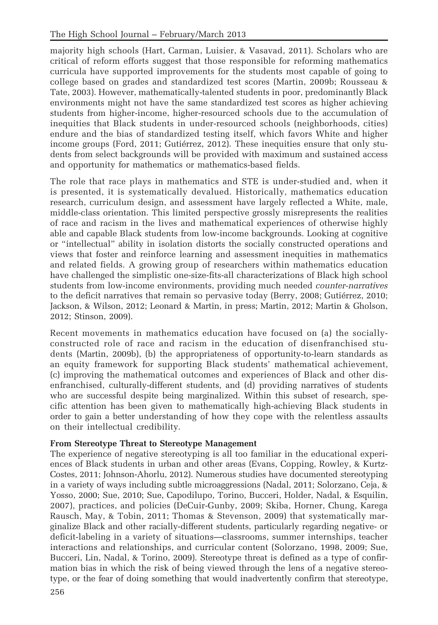majority high schools (Hart, Carman, Luisier, & Vasavad, 2011). Scholars who are critical of reform efforts suggest that those responsible for reforming mathematics curricula have supported improvements for the students most capable of going to college based on grades and standardized test scores (Martin, 2009b; Rousseau & Tate, 2003). However, mathematically-talented students in poor, predominantly Black environments might not have the same standardized test scores as higher achieving students from higher-income, higher-resourced schools due to the accumulation of inequities that Black students in under-resourced schools (neighborhoods, cities) endure and the bias of standardized testing itself, which favors White and higher income groups (Ford, 2011; Gutiérrez, 2012). These inequities ensure that only students from select backgrounds will be provided with maximum and sustained access and opportunity for mathematics or mathematics-based fields.

The role that race plays in mathematics and STE is under-studied and, when it is presented, it is systematically devalued. Historically, mathematics education research, curriculum design, and assessment have largely reflected a White, male, middle-class orientation. This limited perspective grossly misrepresents the realities of race and racism in the lives and mathematical experiences of otherwise highly able and capable Black students from low-income backgrounds. Looking at cognitive or "intellectual" ability in isolation distorts the socially constructed operations and views that foster and reinforce learning and assessment inequities in mathematics and related fields. A growing group of researchers within mathematics education have challenged the simplistic one-size-fits-all characterizations of Black high school students from low-income environments, providing much needed counter-narratives to the deficit narratives that remain so pervasive today (Berry, 2008; Gutiérrez, 2010; Jackson, & Wilson, 2012; Leonard & Martin, in press; Martin, 2012; Martin & Gholson, 2012; Stinson, 2009).

Recent movements in mathematics education have focused on (a) the sociallyconstructed role of race and racism in the education of disenfranchised students (Martin, 2009b), (b) the appropriateness of opportunity-to-learn standards as an equity framework for supporting Black students' mathematical achievement, (c) improving the mathematical outcomes and experiences of Black and other disenfranchised, culturally-different students, and (d) providing narratives of students who are successful despite being marginalized. Within this subset of research, specific attention has been given to mathematically high-achieving Black students in order to gain a better understanding of how they cope with the relentless assaults on their intellectual credibility.

### From Stereotype Threat to Stereotype Management

The experience of negative stereotyping is all too familiar in the educational experiences of Black students in urban and other areas (Evans, Copping, Rowley, & Kurtz-Costes, 2011; Johnson-Ahorlu, 2012). Numerous studies have documented stereotyping in a variety of ways including subtle microaggressions (Nadal, 2011; Solorzano, Ceja, & Yosso, 2000; Sue, 2010; Sue, Capodilupo, Torino, Bucceri, Holder, Nadal, & Esquilin, 2007), practices, and policies (DeCuir-Gunby, 2009; Skiba, Horner, Chung, Karega Rausch, May, & Tobin, 2011; Thomas & Stevenson, 2009) that systematically marginalize Black and other racially-different students, particularly regarding negative- or deficit-labeling in a variety of situations—classrooms, summer internships, teacher interactions and relationships, and curricular content (Solorzano, 1998, 2009; Sue, Bucceri, Lin, Nadal, & Torino, 2009). Stereotype threat is defined as a type of confirmation bias in which the risk of being viewed through the lens of a negative stereotype, or the fear of doing something that would inadvertently confirm that stereotype,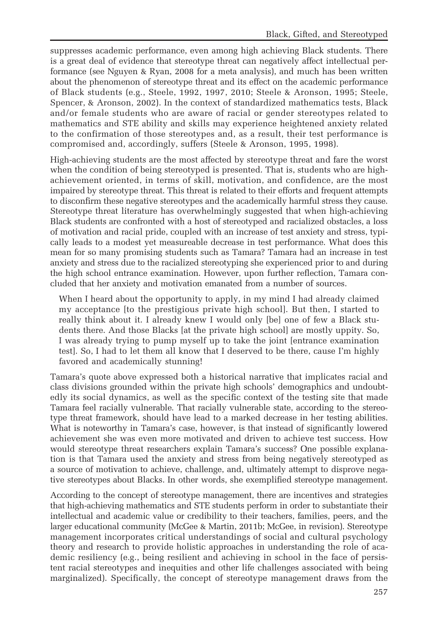suppresses academic performance, even among high achieving Black students. There is a great deal of evidence that stereotype threat can negatively affect intellectual performance (see Nguyen & Ryan, 2008 for a meta analysis), and much has been written about the phenomenon of stereotype threat and its effect on the academic performance of Black students (e.g., Steele, 1992, 1997, 2010; Steele & Aronson, 1995; Steele, Spencer, & Aronson, 2002). In the context of standardized mathematics tests, Black and/or female students who are aware of racial or gender stereotypes related to mathematics and STE ability and skills may experience heightened anxiety related to the confirmation of those stereotypes and, as a result, their test performance is compromised and, accordingly, suffers (Steele & Aronson, 1995, 1998).

High-achieving students are the most affected by stereotype threat and fare the worst when the condition of being stereotyped is presented. That is, students who are highachievement oriented, in terms of skill, motivation, and confidence, are the most impaired by stereotype threat. This threat is related to their efforts and frequent attempts to disconfirm these negative stereotypes and the academically harmful stress they cause. Stereotype threat literature has overwhelmingly suggested that when high-achieving Black students are confronted with a host of stereotyped and racialized obstacles, a loss of motivation and racial pride, coupled with an increase of test anxiety and stress, typically leads to a modest yet measureable decrease in test performance. What does this mean for so many promising students such as Tamara? Tamara had an increase in test anxiety and stress due to the racialized stereotyping she experienced prior to and during the high school entrance examination. However, upon further reflection, Tamara concluded that her anxiety and motivation emanated from a number of sources.

When I heard about the opportunity to apply, in my mind I had already claimed my acceptance [to the prestigious private high school]. But then, I started to really think about it. I already knew I would only [be] one of few a Black students there. And those Blacks [at the private high school] are mostly uppity. So, I was already trying to pump myself up to take the joint [entrance examination test]. So, I had to let them all know that I deserved to be there, cause I'm highly favored and academically stunning!

Tamara's quote above expressed both a historical narrative that implicates racial and class divisions grounded within the private high schools' demographics and undoubtedly its social dynamics, as well as the specific context of the testing site that made Tamara feel racially vulnerable. That racially vulnerable state, according to the stereotype threat framework, should have lead to a marked decrease in her testing abilities. What is noteworthy in Tamara's case, however, is that instead of significantly lowered achievement she was even more motivated and driven to achieve test success. How would stereotype threat researchers explain Tamara's success? One possible explanation is that Tamara used the anxiety and stress from being negatively stereotyped as a source of motivation to achieve, challenge, and, ultimately attempt to disprove negative stereotypes about Blacks. In other words, she exemplified stereotype management.

According to the concept of stereotype management, there are incentives and strategies that high-achieving mathematics and STE students perform in order to substantiate their intellectual and academic value or credibility to their teachers, families, peers, and the larger educational community (McGee & Martin, 2011b; McGee, in revision). Stereotype management incorporates critical understandings of social and cultural psychology theory and research to provide holistic approaches in understanding the role of academic resiliency (e.g., being resilient and achieving in school in the face of persistent racial stereotypes and inequities and other life challenges associated with being marginalized). Specifically, the concept of stereotype management draws from the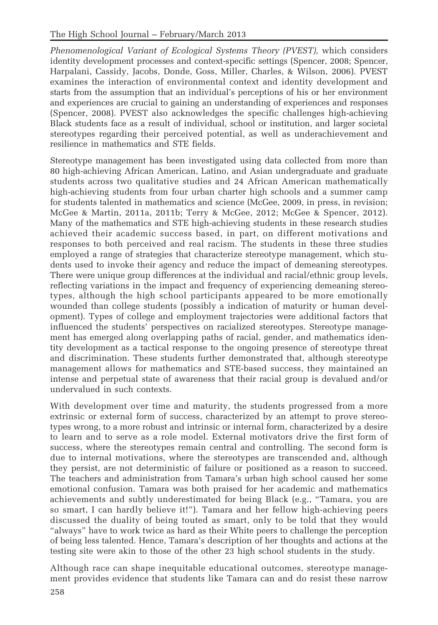Phenomenological Variant of Ecological Systems Theory (PVEST), which considers identity development processes and context-specific settings (Spencer, 2008; Spencer, Harpalani, Cassidy, Jacobs, Donde, Goss, Miller, Charles, & Wilson, 2006). PVEST examines the interaction of environmental context and identity development and starts from the assumption that an individual's perceptions of his or her environment and experiences are crucial to gaining an understanding of experiences and responses (Spencer, 2008). PVEST also acknowledges the specific challenges high-achieving Black students face as a result of individual, school or institution, and larger societal stereotypes regarding their perceived potential, as well as underachievement and resilience in mathematics and STE fields.

Stereotype management has been investigated using data collected from more than 80 high-achieving African American, Latino, and Asian undergraduate and graduate students across two qualitative studies and 24 African American mathematically high-achieving students from four urban charter high schools and a summer camp for students talented in mathematics and science (McGee, 2009, in press, in revision; McGee & Martin, 2011a, 2011b; Terry & McGee, 2012; McGee & Spencer, 2012). Many of the mathematics and STE high-achieving students in these research studies achieved their academic success based, in part, on different motivations and responses to both perceived and real racism. The students in these three studies employed a range of strategies that characterize stereotype management, which students used to invoke their agency and reduce the impact of demeaning stereotypes. There were unique group differences at the individual and racial/ethnic group levels, reflecting variations in the impact and frequency of experiencing demeaning stereotypes, although the high school participants appeared to be more emotionally wounded than college students (possibly a indication of maturity or human development). Types of college and employment trajectories were additional factors that influenced the students' perspectives on racialized stereotypes. Stereotype management has emerged along overlapping paths of racial, gender, and mathematics identity development as a tactical response to the ongoing presence of stereotype threat and discrimination. These students further demonstrated that, although stereotype management allows for mathematics and STE-based success, they maintained an intense and perpetual state of awareness that their racial group is devalued and/or undervalued in such contexts.

With development over time and maturity, the students progressed from a more extrinsic or external form of success, characterized by an attempt to prove stereotypes wrong, to a more robust and intrinsic or internal form, characterized by a desire to learn and to serve as a role model. External motivators drive the first form of success, where the stereotypes remain central and controlling. The second form is due to internal motivations, where the stereotypes are transcended and, although they persist, are not deterministic of failure or positioned as a reason to succeed. The teachers and administration from Tamara's urban high school caused her some emotional confusion. Tamara was both praised for her academic and mathematics achievements and subtly underestimated for being Black (e.g., "Tamara, you are so smart, I can hardly believe it!"). Tamara and her fellow high-achieving peers discussed the duality of being touted as smart, only to be told that they would "always" have to work twice as hard as their White peers to challenge the perception of being less talented. Hence, Tamara's description of her thoughts and actions at the testing site were akin to those of the other 23 high school students in the study.

Although race can shape inequitable educational outcomes, stereotype management provides evidence that students like Tamara can and do resist these narrow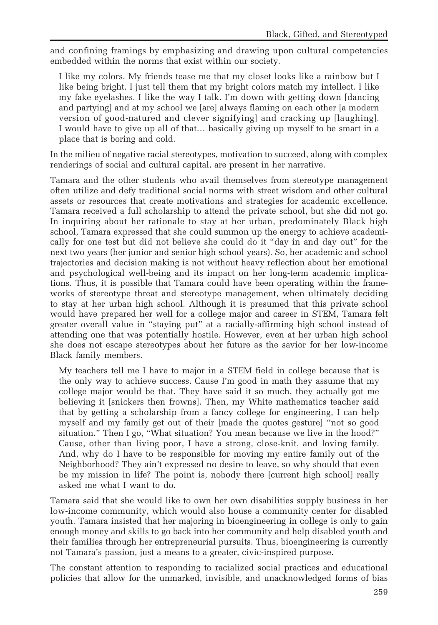and confining framings by emphasizing and drawing upon cultural competencies embedded within the norms that exist within our society.

I like my colors. My friends tease me that my closet looks like a rainbow but I like being bright. I just tell them that my bright colors match my intellect. I like my fake eyelashes. I like the way I talk. I'm down with getting down [dancing and partying] and at my school we [are] always flaming on each other [a modern version of good-natured and clever signifying] and cracking up [laughing]. I would have to give up all of that… basically giving up myself to be smart in a place that is boring and cold.

In the milieu of negative racial stereotypes, motivation to succeed, along with complex renderings of social and cultural capital, are present in her narrative.

Tamara and the other students who avail themselves from stereotype management often utilize and defy traditional social norms with street wisdom and other cultural assets or resources that create motivations and strategies for academic excellence. Tamara received a full scholarship to attend the private school, but she did not go. In inquiring about her rationale to stay at her urban, predominately Black high school, Tamara expressed that she could summon up the energy to achieve academically for one test but did not believe she could do it "day in and day out" for the next two years (her junior and senior high school years). So, her academic and school trajectories and decision making is not without heavy reflection about her emotional and psychological well-being and its impact on her long-term academic implications. Thus, it is possible that Tamara could have been operating within the frameworks of stereotype threat and stereotype management, when ultimately deciding to stay at her urban high school. Although it is presumed that this private school would have prepared her well for a college major and career in STEM, Tamara felt greater overall value in "staying put" at a racially-affirming high school instead of attending one that was potentially hostile. However, even at her urban high school she does not escape stereotypes about her future as the savior for her low-income Black family members.

My teachers tell me I have to major in a STEM field in college because that is the only way to achieve success. Cause I'm good in math they assume that my college major would be that. They have said it so much, they actually got me believing it [snickers then frowns]. Then, my White mathematics teacher said that by getting a scholarship from a fancy college for engineering, I can help myself and my family get out of their [made the quotes gesture] "not so good situation." Then I go, "What situation? You mean because we live in the hood?" Cause, other than living poor, I have a strong, close-knit, and loving family. And, why do I have to be responsible for moving my entire family out of the Neighborhood? They ain't expressed no desire to leave, so why should that even be my mission in life? The point is, nobody there [current high school] really asked me what I want to do.

Tamara said that she would like to own her own disabilities supply business in her low-income community, which would also house a community center for disabled youth. Tamara insisted that her majoring in bioengineering in college is only to gain enough money and skills to go back into her community and help disabled youth and their families through her entrepreneurial pursuits. Thus, bioengineering is currently not Tamara's passion, just a means to a greater, civic-inspired purpose.

The constant attention to responding to racialized social practices and educational policies that allow for the unmarked, invisible, and unacknowledged forms of bias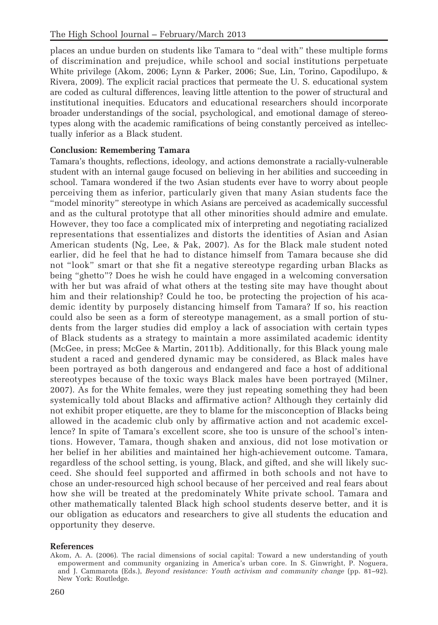places an undue burden on students like Tamara to "deal with" these multiple forms of discrimination and prejudice, while school and social institutions perpetuate White privilege (Akom, 2006; Lynn & Parker, 2006; Sue, Lin, Torino, Capodilupo, & Rivera, 2009). The explicit racial practices that permeate the U. S. educational system are coded as cultural differences, leaving little attention to the power of structural and institutional inequities. Educators and educational researchers should incorporate broader understandings of the social, psychological, and emotional damage of stereotypes along with the academic ramifications of being constantly perceived as intellectually inferior as a Black student.

#### Conclusion: Remembering Tamara

Tamara's thoughts, reflections, ideology, and actions demonstrate a racially-vulnerable student with an internal gauge focused on believing in her abilities and succeeding in school. Tamara wondered if the two Asian students ever have to worry about people perceiving them as inferior, particularly given that many Asian students face the "model minority" stereotype in which Asians are perceived as academically successful and as the cultural prototype that all other minorities should admire and emulate. However, they too face a complicated mix of interpreting and negotiating racialized representations that essentializes and distorts the identities of Asian and Asian American students (Ng, Lee, & Pak, 2007). As for the Black male student noted earlier, did he feel that he had to distance himself from Tamara because she did not "look" smart or that she fit a negative stereotype regarding urban Blacks as being "ghetto"? Does he wish he could have engaged in a welcoming conversation with her but was afraid of what others at the testing site may have thought about him and their relationship? Could he too, be protecting the projection of his academic identity by purposely distancing himself from Tamara? If so, his reaction could also be seen as a form of stereotype management, as a small portion of students from the larger studies did employ a lack of association with certain types of Black students as a strategy to maintain a more assimilated academic identity (McGee, in press; McGee & Martin, 2011b). Additionally, for this Black young male student a raced and gendered dynamic may be considered, as Black males have been portrayed as both dangerous and endangered and face a host of additional stereotypes because of the toxic ways Black males have been portrayed (Milner, 2007). As for the White females, were they just repeating something they had been systemically told about Blacks and affirmative action? Although they certainly did not exhibit proper etiquette, are they to blame for the misconception of Blacks being allowed in the academic club only by affirmative action and not academic excellence? In spite of Tamara's excellent score, she too is unsure of the school's intentions. However, Tamara, though shaken and anxious, did not lose motivation or her belief in her abilities and maintained her high-achievement outcome. Tamara, regardless of the school setting, is young, Black, and gifted, and she will likely succeed. She should feel supported and affirmed in both schools and not have to chose an under-resourced high school because of her perceived and real fears about how she will be treated at the predominately White private school. Tamara and other mathematically talented Black high school students deserve better, and it is our obligation as educators and researchers to give all students the education and opportunity they deserve.

#### References

Akom, A. A. (2006). The racial dimensions of social capital: Toward a new understanding of youth empowerment and community organizing in America's urban core. In S. Ginwright, P. Noguera, and J. Cammarota (Eds.), Beyond resistance: Youth activism and community change (pp. 81–92). New York: Routledge.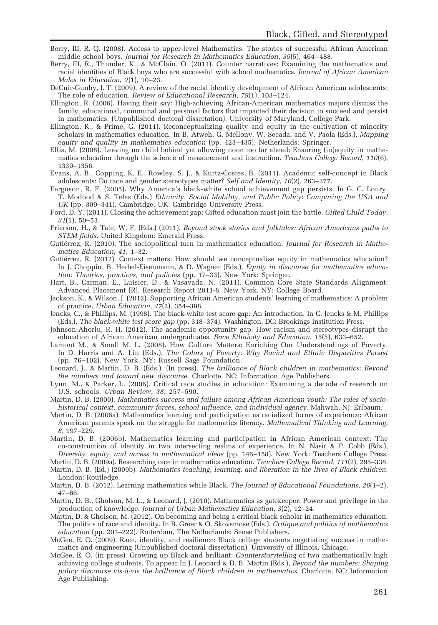- Berry, III, R. Q. (2008). Access to upper-level Mathematics: The stories of successful African American middle school boys. Journal for Research in Mathematics Education, 39(5), 464–488.
- Berry, III, R., Thunder, K., & McClain, O. (2011). Counter narratives: Examining the mathematics and racial identities of Black boys who are successful with school mathematics. Journal of African American Males in Education, 2(1), 10–23.
- DeCuir-Gunby, J. T. (2009). A review of the racial identity development of African American adolescents: The role of education. Review of Educational Research, 79(1), 103–124.
- Ellington, R. (2006). Having their say: High-achieving African-American mathematics majors discuss the family, educational, communal and personal factors that impacted their decision to succeed and persist in mathematics. (Unpublished doctoral dissertation). University of Maryland, College Park.
- Ellington, R., & Prime, G. (2011). Reconceptualizing quality and equity in the cultivation of minority scholars in mathematics education. In B. Atweh, G. Mellony, W. Secada, and V. Paola (Eds.), Mapping equity and quality in mathematics education (pp. 423–435). Netherlands: Springer.
- Ellis, M. (2008). Leaving no child behind yet allowing none too far ahead: Ensuring (in)equity in mathematics education through the science of measurement and instruction. Teachers College Record, 110(6), 1330–1356.
- Evans, A. B., Copping, K. E., Rowley, S. J., & Kurtz-Costes, B. (2011). Academic self-concept in Black adolescents: Do race and gender stereotypes matter? Self and Identity, 10(2), 263–277.
- Ferguson, R. F. (2005). Why America's black-white school achievement gap persists. In G. C. Loury, T. Modood & S. Teles (Eds.) Ethnicity, Social Mobility, and Public Policy: Comparing the USA and UK (pp. 309–341). Cambridge, UK: Cambridge University Press.
- Ford, D. Y. (2011). Closing the achievement gap: Gifted education must join the battle. Gifted Child Today, 31(1), 50–53.
- Frierson, H., & Tate, W. F. (Eds.) (2011). Beyond stock stories and folktales: African Americans paths to STEM fields. United Kingdom: Emerald Press.
- Gutiérrez, R. (2010). The sociopolitical turn in mathematics education. Journal for Research in Mathematics Education, 41, 1–32.
- Gutiérrez, R. (2012). Context matters: How should we conceptualize equity in mathematics education? In J. Choppin, B. Herbel-Eisenmann, & D. Wagner (Eds.), Equity in discourse for mathematics education: Theories, practices, and policies (pp. 17–33). New York: Springer.
- Hart, B., Carman, E., Luisier, D., & Vasavada, N. (2011). Common Core State Standards Alignment: Advanced Placement [R]. Research Report 2011-8. New York, NY: College Board.
- Jackson, K., & Wilson, J. (2012). Supporting African American students' learning of mathematics: A problem of practice. Urban Education, 47(2), 354–398.
- Jencks, C., & Phillips, M. (1998). The black-white test score gap: An introduction. In C. Jencks & M. Phillips (Eds.), The black-white test score gap (pp. 318–374). Washington, DC: Brookings Institution Press.
- Johnson-Ahorlu, R. H. (2012). The academic opportunity gap: How racism and stereotypes disrupt the education of African American undergraduates. Race Ethnicity and Education, 15(5), 633–652.
- Lamont M., & Small M. L. (2008). How Culture Matters: Enriching Our Understandings of Poverty. In D. Harris and A. Lin (Eds.), The Colors of Poverty: Why Racial and Ethnic Disparities Persist (pp. 76–102). New York, NY: Russell Sage Foundation.
- Leonard, J., & Martin, D. B. (Eds.). (In press). The brilliance of Black children in mathematics: Beyond the numbers and toward new discourse. Charlotte, NC: Information Age Publishers.
- Lynn, M., & Parker, L. (2006). Critical race studies in education: Examining a decade of research on U.S. schools. Urban Review, 38, 257–590.
- Martin, D. B. (2000). Mathematics success and failure among African American youth: The roles of sociohistorical context, community forces, school influence, and individual agency. Mahwah, NJ: Erlbaum.
- Martin, D. B. (2006a). Mathematics learning and participation as racialized forms of experience: African American parents speak on the struggle for mathematics literacy. Mathematical Thinking and Learning, 8, 197–229.
- Martin, D. B. (2006b). Mathematics learning and participation in African American context: The co-construction of identity in two intersecting realms of experience. In N. Nasir & P. Cobb (Eds.), Diversity, equity, and access to mathematical ideas (pp. 146–158). New York: Teachers College Press.
- Martin, D. B. (2009a). Researching race in mathematics education. Teachers College Record, 111(2), 295-338.
- Martin, D. B. (Ed.) (2009b). Mathematics teaching, learning, and liberation in the lives of Black children. London: Routledge.
- Martin, D. B. (2012). Learning mathematics while Black. The Journal of Educational Foundations, 26(1-2), 47–66.
- Martin, D. B., Gholson, M. L., & Leonard, J. (2010). Mathematics as gatekeeper: Power and privilege in the production of knowledge. Journal of Urban Mathematics Education, 3(2), 12–24.
- Martin, D. & Gholson, M. (2012). On becoming and being a critical black scholar in mathematics education: The politics of race and identity. In B. Greer & O. Skovsmose (Eds.), Critique and politics of mathematics education (pp. 203–222). Rotterdam, The Netherlands: Sense Publishers.
- McGee, E. O. (2009). Race, identity, and resilience: Black college students negotiating success in mathematics and engineering (Unpublished doctoral dissertation). University of Illinois, Chicago.
- McGee, E. O. (in press). Growing up Black and brilliant: Counterstorytelling of two mathematically high achieving college students. To appear In J. Leonard & D. B. Martin (Eds.), Beyond the numbers: Shaping policy discourse vis-à-vis the brilliance of Black children in mathematics. Charlotte, NC: Information Age Publishing.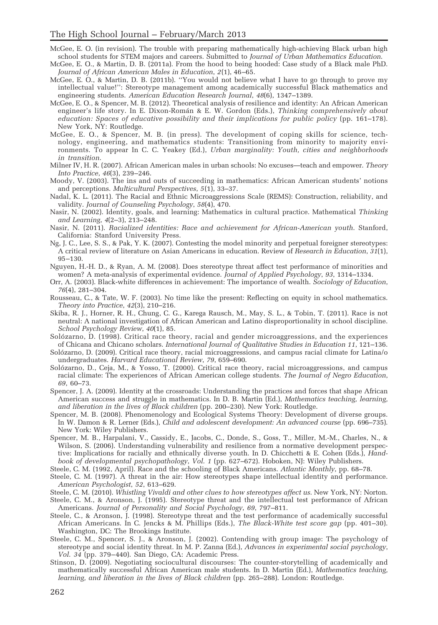- McGee, E. O. (in revision). The trouble with preparing mathematically high-achieving Black urban high school students for STEM majors and careers. Submitted to Journal of Urban Mathematics Education.
- McGee, E. O., & Martin, D. B. (2011a). From the hood to being hooded: Case study of a Black male PhD. Journal of African American Males in Education, 2(1), 46–65.
- McGee, E. O., & Martin, D. B. (2011b). ''You would not believe what I have to go through to prove my intellectual value!'': Stereotype management among academically successful Black mathematics and engineering students. American Education Research Journal, 48(6), 1347–1389.
- McGee, E. O., & Spencer, M. B. (2012). Theoretical analysis of resilience and identity: An African American engineer's life story. In E. Dixon-Román & E. W. Gordon (Eds.), Thinking comprehensively about education: Spaces of educative possibility and their implications for public policy (pp. 161–178). New York, NY: Routledge.
- McGee, E. O., & Spencer, M. B. (in press). The development of coping skills for science, technology, engineering, and mathematics students: Transitioning from minority to majority environments. To appear In C. C. Yeakey (Ed.), Urban marginality: Youth, cities and neighborhoods in transition.
- Milner IV, H. R. (2007). African American males in urban schools: No excuses—teach and empower. Theory Into Practice, 46(3), 239–246.
- Moody, V. (2003). The ins and outs of succeeding in mathematics: African American students' notions and perceptions. Multicultural Perspectives, 5(1), 33–37.
- Nadal, K. L. (2011). The Racial and Ethnic Microaggressions Scale (REMS): Construction, reliability, and validity. Journal of Counseling Psychology, 58(4), 470.
- Nasir, N. (2002). Identity, goals, and learning: Mathematics in cultural practice. Mathematical Thinking and Learning, 4(2–3), 213–248.
- Nasir, N. (2011). Racialized identities: Race and achievement for African-American youth. Stanford, California: Stanford University Press.
- Ng, J. C., Lee, S. S., & Pak, Y. K. (2007). Contesting the model minority and perpetual foreigner stereotypes: A critical review of literature on Asian Americans in education. Review of Research in Education, 31(1), 95–130.
- Nguyen, H.-H. D., & Ryan, A. M. (2008). Does stereotype threat affect test performance of minorities and women? A meta-analysis of experimental evidence. Journal of Applied Psychology, 93, 1314–1334.
- Orr, A. (2003). Black-white differences in achievement: The importance of wealth. Sociology of Education, 76(4), 281–304.
- Rousseau, C., & Tate, W. F. (2003). No time like the present: Reflecting on equity in school mathematics. Theory into Practice, 42(3), 210–216.
- Skiba, R. J., Horner, R. H., Chung, C. G., Karega Rausch, M., May, S. L., & Tobin, T. (2011). Race is not neutral: A national investigation of African American and Latino disproportionality in school discipline. School Psychology Review, 40(1), 85.
- Solózarno, D. (1998). Critical race theory, racial and gender microaggressions, and the experiences of Chicana and Chicano scholars. International Journal of Qualitative Studies in Education 11, 121–136.
- Solózarno, D. (2009). Critical race theory, racial microaggressions, and campus racial climate for Latina/o undergraduates. Harvard Educational Review, 79, 659–690.
- Solózarno, D., Ceja, M., & Yosso, T. (2000). Critical race theory, racial microaggressions, and campus racial climate: The experiences of African American college students. The Journal of Negro Education, 69, 60–73.
- Spencer, J. A. (2009). Identity at the crossroads: Understanding the practices and forces that shape African American success and struggle in mathematics. In D. B. Martin (Ed.), Mathematics teaching, learning, and liberation in the lives of Black children (pp. 200–230). New York: Routledge.
- Spencer, M. B. (2008). Phenomenology and Ecological Systems Theory: Development of diverse groups. In W. Damon & R. Lerner (Eds.), Child and adolescent development: An advanced course (pp. 696–735). New York: Wiley Publishers.
- Spencer, M. B., Harpalani, V., Cassidy, E., Jacobs, C., Donde, S., Goss, T., Miller, M.-M., Charles, N., & Wilson, S. (2006). Understanding vulnerability and resilience from a normative development perspective: Implications for racially and ethnically diverse youth. In D. Chicchetti & E. Cohen (Eds.), Handbook of developmental psychopathology, Vol. 1 (pp. 627–672). Hoboken, NJ: Wiley Publishers.
- Steele, C. M. (1992, April). Race and the schooling of Black Americans. Atlantic Monthly, pp. 68–78.
- Steele, C. M. (1997). A threat in the air: How stereotypes shape intellectual identity and performance. American Psychologist, 52, 613–629.

Steele, C. M. (2010). Whistling Vivaldi and other clues to how stereotypes affect us. New York, NY: Norton.

- Steele, C. M., & Aronson, J. (1995). Stereotype threat and the intellectual test performance of African Americans. Journal of Personality and Social Psychology, 69, 797–811.
- Steele, C., & Aronson, J. (1998). Stereotype threat and the test performance of academically successful African Americans. In C. Jencks & M. Phillips (Eds.), The Black-White test score gap (pp. 401–30). Washington, DC: The Brookings Institute.
- Steele, C. M., Spencer, S. J., & Aronson, J. (2002). Contending with group image: The psychology of stereotype and social identity threat. In M. P. Zanna (Ed.), Advances in experimental social psychology, Vol. 34 (pp. 379–440). San Diego, CA: Academic Press.
- Stinson, D. (2009). Negotiating sociocultural discourses: The counter-storytelling of academically and mathematically successful African American male students. In D. Martin (Ed.), Mathematics teaching, learning, and liberation in the lives of Black children (pp. 265–288). London: Routledge.